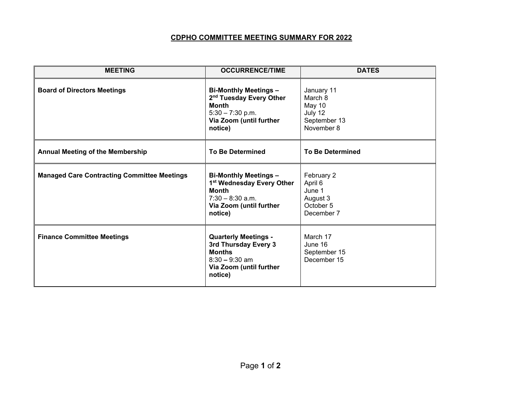## **CDPHO COMMITTEE MEETING SUMMARY FOR 2022**

| <b>MEETING</b>                                     | <b>OCCURRENCE/TIME</b>                                                                                                                          | <b>DATES</b>                                                             |  |
|----------------------------------------------------|-------------------------------------------------------------------------------------------------------------------------------------------------|--------------------------------------------------------------------------|--|
| <b>Board of Directors Meetings</b>                 | <b>Bi-Monthly Meetings -</b><br>2 <sup>nd</sup> Tuesday Every Other<br><b>Month</b><br>$5:30 - 7:30$ p.m.<br>Via Zoom (until further<br>notice) | January 11<br>March 8<br>May 10<br>July 12<br>September 13<br>November 8 |  |
| <b>Annual Meeting of the Membership</b>            | <b>To Be Determined</b>                                                                                                                         | <b>To Be Determined</b>                                                  |  |
| <b>Managed Care Contracting Committee Meetings</b> | <b>Bi-Monthly Meetings -</b><br>1st Wednesday Every Other<br><b>Month</b><br>$7:30 - 8:30$ a.m.<br>Via Zoom (until further<br>notice)           | February 2<br>April 6<br>June 1<br>August 3<br>October 5<br>December 7   |  |
| <b>Finance Committee Meetings</b>                  | <b>Quarterly Meetings -</b><br>3rd Thursday Every 3<br><b>Months</b><br>$8:30 - 9:30$ am<br>Via Zoom (until further<br>notice)                  | March 17<br>June 16<br>September 15<br>December 15                       |  |